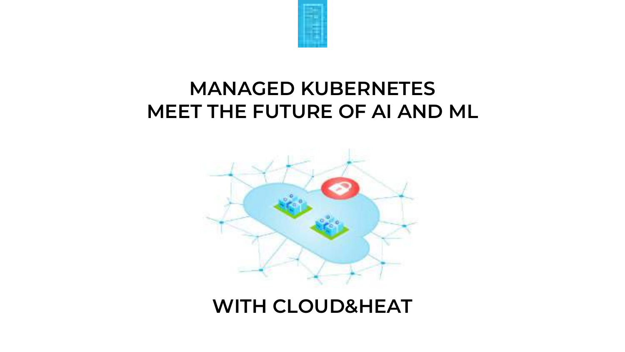

# **MANAGED KUBERNETES MEET THE FUTURE OF AI AND ML**



## **WITH CLOUD&HEAT**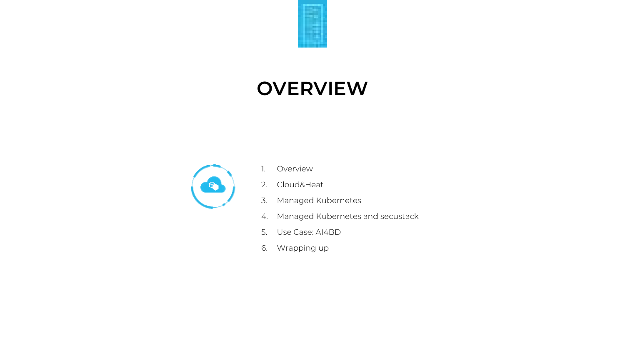

# **OVERVIEW**



- 1. Overview
- 2. Cloud&Heat
- 3. Managed Kubernetes
- 4. Managed Kubernetes and secustack
- 5. Use Case: AI4BD
- 6. Wrapping up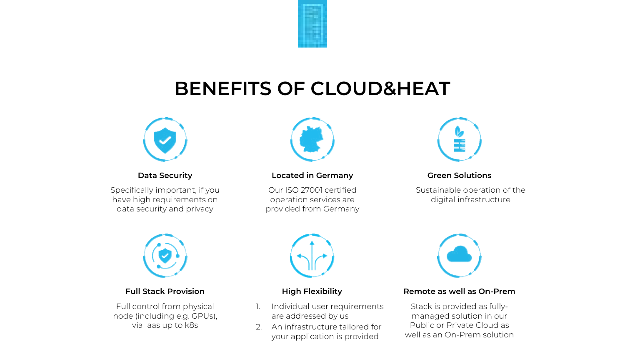

# **BENEFITS OF CLOUD&HEAT**



**Data Security**

Specifically important, if you have high requirements on data security and privacy



### **Located in Germany**

Our ISO 27001 certified operation services are provided from Germany



### **Green Solutions**

Sustainable operation of the digital infrastructure



### **Full Stack Provision**

Full control from physical node (including e.g. GPUs), via Iaas up to k8s



### **High Flexibility**

- Individual user requirements are addressed by us
- 2. An infrastructure tailored for your application is provided



### **Remote as well as On-Prem**

Stack is provided as fullymanaged solution in our Public or Private Cloud as well as an On-Prem solution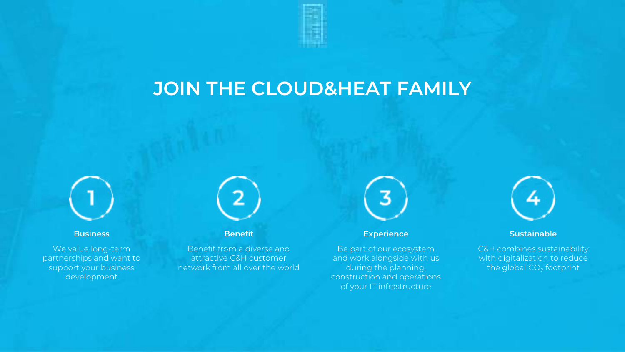# **JOIN THE CLOUD&HEAT FAMILY**



**Business**

We value long-term partnerships and want to support your business development

**Benefit**

Benefit from a diverse and attractive C&H customer network from all over the world



### **Experience**

Be part of our ecosystem and work alongside with us during the planning, construction and operations of your IT infrastructure



### **Sustainable**

C&H combines sustainability with digitalization to reduce the global  $CO<sub>2</sub>$  footprint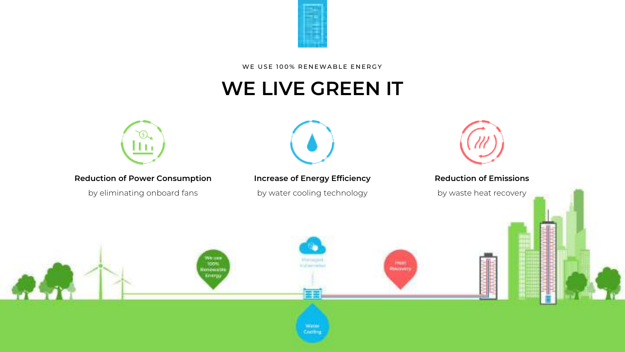

WE USE 100% RENEWABLE ENERGY

# **WE LIVE GREEN IT**



**Reduction of Power Consumption**

by eliminating onboard fans

**TOON**<br>RFFERENCE Energy



### **Increase of Energy Efficiency**

by water cooling technology

Water Cooling



### **Reduction of Emissions**

by waste heat recovery

**Plant**<br>Medicines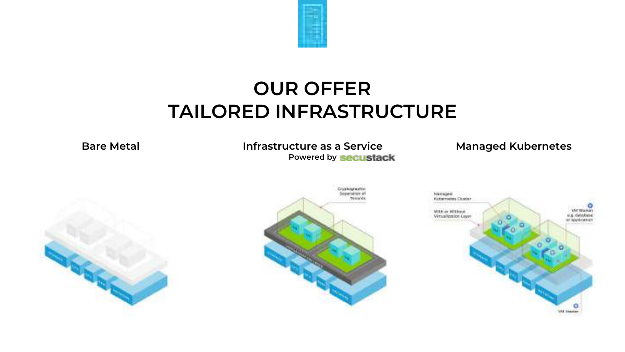

# **OUR OFFER TAILORED INFRASTRUCTURE**

**Bare Metal**

### **Infrastructure as a Service Powered by**

### **Managed Kubernetes**





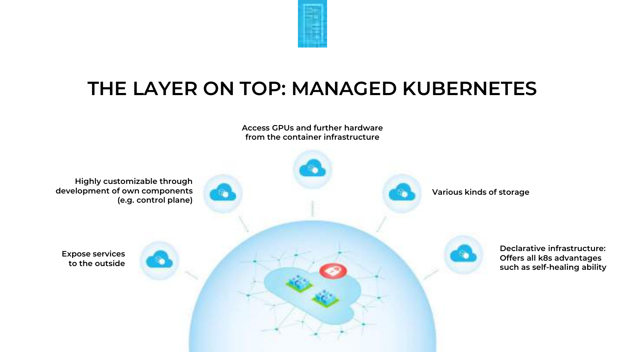

# **THE LAYER ON TOP: MANAGED KUBERNETES**

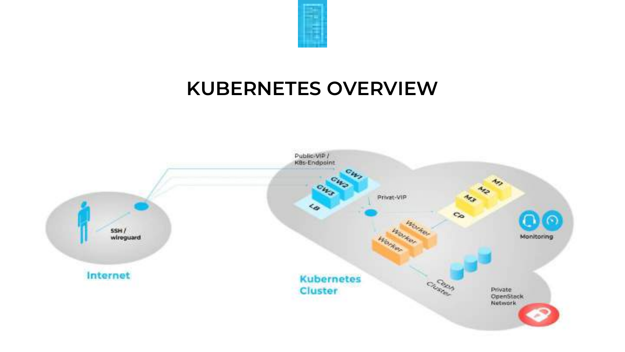

# **KUBERNETES OVERVIEW**

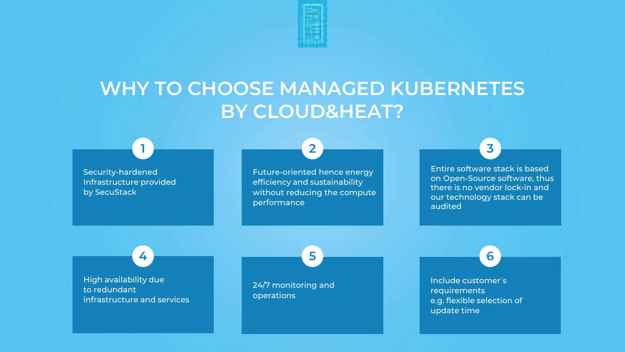

# **WHY TO CHOOSE MANAGED KUBERNETES BY CLOUD&HEAT?**

**2**

Security-hardened Infrastructure provided by SecuStack

**1**

Future-oriented hence energy efficiency and sustainability without reducing the compute performance

**5**

Entire software stack is based on Open-Source software, thus there is no vendor lock-in and our technology stack can be audited

**6**

**3**

High availability due to redundant infrastructure and services

**4**

24/7 monitoring and operations

Include customer´s requirements e.g. flexible selection of update time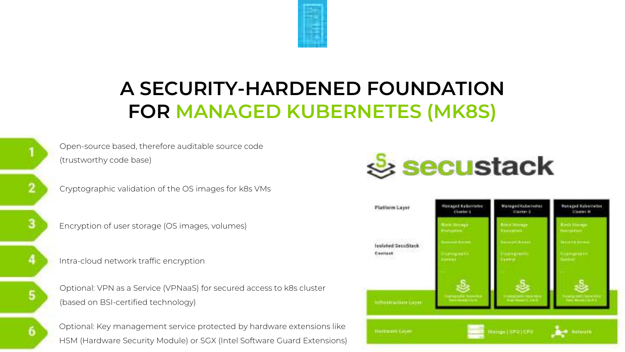

# **A SECURITY-HARDENED FOUNDATION FOR MANAGED KUBERNETES (MK8S)**

Open-source based, therefore auditable source code (trustworthy code base)

Cryptographic validation of the OS images for k8s VMs

Encryption of user storage (OS images, volumes)

Intra-cloud network traffic encryption

6

Optional: VPN as a Service (VPNaaS) for secured access to k8s cluster (based on BSI-certified technology)

Optional: Key management service protected by hardware extensions like HSM (Hardware Security Module) or SGX (Intel Software Guard Extensions)



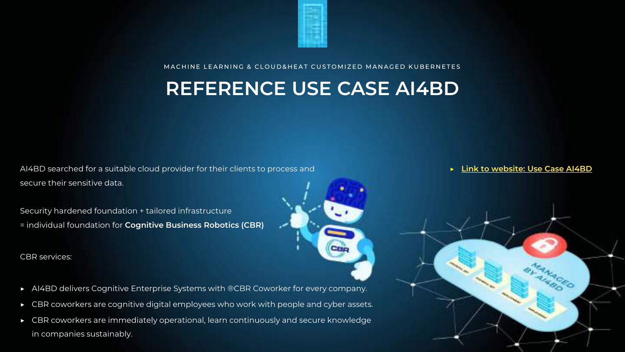

MACHINE LEARNING & CLOUD&HEAT CUSTOMIZED MANAGED KUBERNETES

## **REFERENCE USE CASE AI4BD**

AI4BD searched for a suitable cloud provider for their clients to process and secure their sensitive data.

Security hardened foundation + tailored infrastructure = individual foundation for **Cognitive Business Robotics (CBR)**

CBR services:



- ▶ CBR coworkers are cognitive digital employees who work with people and cyber assets.
- ▶ CBR coworkers are immediately operational, learn continuously and secure knowledge in companies sustainably.

### ▶ **[Link to website: Use Case AI4BD](https://www.cloudandheat.com/scalable-and-secure-hosting-of-cognitive-enterprise-systems-using-managed-kubernetes/)**